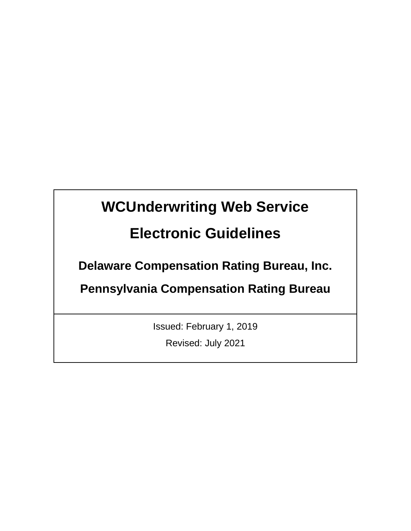# **WCUnderwriting Web Service**

## **Electronic Guidelines**

**Delaware Compensation Rating Bureau, Inc.** 

**Pennsylvania Compensation Rating Bureau**

Issued: February 1, 2019

Revised: July 2021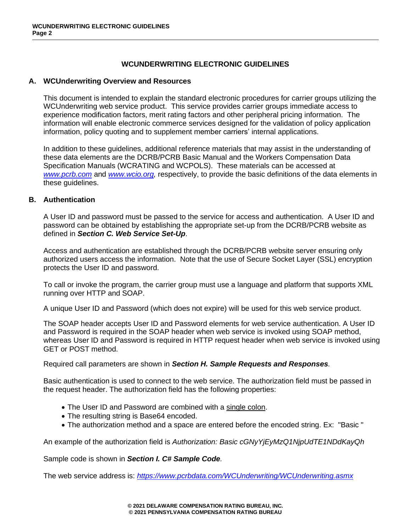## **WCUNDERWRITING ELECTRONIC GUIDELINES**

## **A. WCUnderwriting Overview and Resources**

This document is intended to explain the standard electronic procedures for carrier groups utilizing the WCUnderwriting web service product. This service provides carrier groups immediate access to experience modification factors, merit rating factors and other peripheral pricing information. The information will enable electronic commerce services designed for the validation of policy application information, policy quoting and to supplement member carriers' internal applications.

In addition to these guidelines, additional reference materials that may assist in the understanding of these data elements are the DCRB/PCRB Basic Manual and the Workers Compensation Data Specification Manuals (WCRATING and WCPOLS). These materials can be accessed at *[www.pcrb.com](http://www.pcrb.com/)* and *[www.wcio.org,](http://www.wcio.org/)* respectively, to provide the basic definitions of the data elements in these guidelines.

## **B. Authentication**

A User ID and password must be passed to the service for access and authentication. A User ID and password can be obtained by establishing the appropriate set-up from the DCRB/PCRB website as defined in *Section C. Web Service Set-Up*.

Access and authentication are established through the DCRB/PCRB website server ensuring only authorized users access the information. Note that the use of Secure Socket Layer (SSL) encryption protects the User ID and password.

To call or invoke the program, the carrier group must use a language and platform that supports XML running over HTTP and SOAP.

A unique User ID and Password (which does not expire) will be used for this web service product.

The SOAP header accepts User ID and Password elements for web service authentication. A User ID and Password is required in the SOAP header when web service is invoked using SOAP method, whereas User ID and Password is required in HTTP request header when web service is invoked using GET or POST method.

Required call parameters are shown in *Section H. Sample Requests and Responses.*

Basic authentication is used to connect to the web service. The authorization field must be passed in the request header. The authorization field has the following properties:

- The User ID and Password are combined with a single colon.
- The resulting string is Base64 encoded.
- The authorization method and a space are entered before the encoded string. Ex: "Basic "

An example of the authorization field is *Authorization: Basic cGNyYjEyMzQ1NjpUdTE1NDdKayQh*

Sample code is shown in *Section I. C# Sample Code.*

The web service address is: *<https://www.pcrbdata.com/WCUnderwriting/WCUnderwriting.asmx>*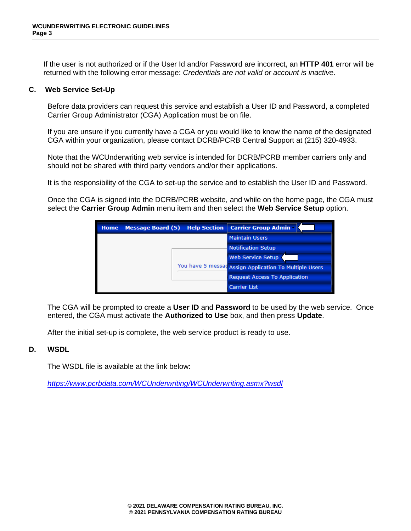If the user is not authorized or if the User Id and/or Password are incorrect, an **HTTP 401** error will be returned with the following error message: *Credentials are not valid or account is inactive*.

## **C. Web Service Set-Up**

Before data providers can request this service and establish a User ID and Password, a completed Carrier Group Administrator (CGA) Application must be on file.

If you are unsure if you currently have a CGA or you would like to know the name of the designated CGA within your organization, please contact DCRB/PCRB Central Support at (215) 320-4933.

Note that the WCUnderwriting web service is intended for DCRB/PCRB member carriers only and should not be shared with third party vendors and/or their applications.

It is the responsibility of the CGA to set-up the service and to establish the User ID and Password.

Once the CGA is signed into the DCRB/PCRB website, and while on the home page, the CGA must select the **Carrier Group Admin** menu item and then select the **Web Service Setup** option.



The CGA will be prompted to create a **User ID** and **Password** to be used by the web service. Once entered, the CGA must activate the **Authorized to Use** box, and then press **Update**.

After the initial set-up is complete, the web service product is ready to use.

## **D. WSDL**

The WSDL file is available at the link below:

*<https://www.pcrbdata.com/WCUnderwriting/WCUnderwriting.asmx?wsdl>*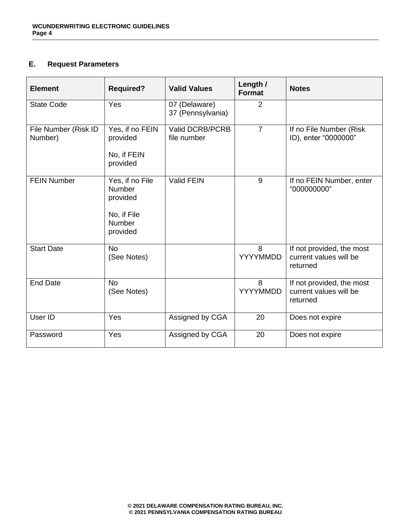## **E. Request Parameters**

| <b>Element</b>                  | <b>Required?</b>                                                                  | <b>Valid Values</b>                | Length /<br><b>Format</b> | <b>Notes</b>                                                    |
|---------------------------------|-----------------------------------------------------------------------------------|------------------------------------|---------------------------|-----------------------------------------------------------------|
| <b>State Code</b>               | Yes                                                                               | 07 (Delaware)<br>37 (Pennsylvania) | 2                         |                                                                 |
| File Number (Risk ID<br>Number) | Yes, if no FEIN<br>provided<br>No, if FEIN<br>provided                            | Valid DCRB/PCRB<br>file number     | $\overline{7}$            | If no File Number (Risk<br>ID), enter "0000000"                 |
| <b>FEIN Number</b>              | Yes, if no File<br><b>Number</b><br>provided<br>No, if File<br>Number<br>provided | Valid FEIN                         | 9                         | If no FEIN Number, enter<br>"000000000"                         |
| <b>Start Date</b>               | <b>No</b><br>(See Notes)                                                          |                                    | 8<br><b>YYYYMMDD</b>      | If not provided, the most<br>current values will be<br>returned |
| <b>End Date</b>                 | <b>No</b><br>(See Notes)                                                          |                                    | 8<br><b>YYYYMMDD</b>      | If not provided, the most<br>current values will be<br>returned |
| User ID                         | Yes                                                                               | Assigned by CGA                    | 20                        | Does not expire                                                 |
| Password                        | Yes                                                                               | Assigned by CGA                    | 20                        | Does not expire                                                 |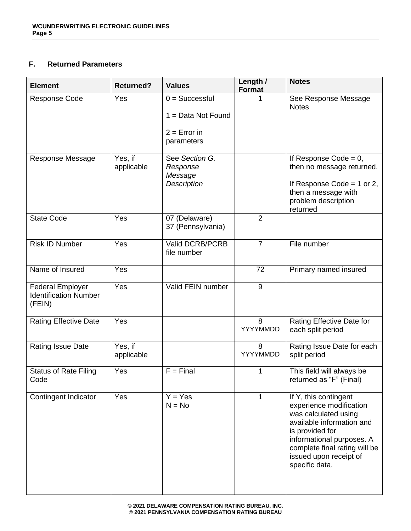## **F. Returned Parameters**

| <b>Element</b>                                                    | <b>Returned?</b>      | <b>Values</b>                                                            | Length /<br><b>Format</b> | <b>Notes</b>                                                                                                                                                                                                                       |
|-------------------------------------------------------------------|-----------------------|--------------------------------------------------------------------------|---------------------------|------------------------------------------------------------------------------------------------------------------------------------------------------------------------------------------------------------------------------------|
| <b>Response Code</b>                                              | Yes                   | $0 =$ Successful<br>$1 = Data Not Found$<br>$2 = Error in$<br>parameters |                           | See Response Message<br><b>Notes</b>                                                                                                                                                                                               |
| Response Message                                                  | Yes, if<br>applicable | See Section G.<br>Response<br>Message<br><b>Description</b>              |                           | If Response Code = $0$ ,<br>then no message returned.<br>If Response Code = $1$ or $2$ ,<br>then a message with<br>problem description<br>returned                                                                                 |
| <b>State Code</b>                                                 | Yes                   | 07 (Delaware)<br>37 (Pennsylvania)                                       | $\overline{2}$            |                                                                                                                                                                                                                                    |
| <b>Risk ID Number</b>                                             | Yes                   | Valid DCRB/PCRB<br>file number                                           | $\overline{7}$            | File number                                                                                                                                                                                                                        |
| Name of Insured                                                   | Yes                   |                                                                          | 72                        | Primary named insured                                                                                                                                                                                                              |
| <b>Federal Employer</b><br><b>Identification Number</b><br>(FEIN) | Yes                   | Valid FEIN number                                                        | 9                         |                                                                                                                                                                                                                                    |
| <b>Rating Effective Date</b>                                      | Yes                   |                                                                          | 8<br>YYYYMMDD             | Rating Effective Date for<br>each split period                                                                                                                                                                                     |
| Rating Issue Date                                                 | Yes, if<br>applicable |                                                                          | 8<br>YYYYMMDD             | Rating Issue Date for each<br>split period                                                                                                                                                                                         |
| <b>Status of Rate Filing</b><br>Code                              | Yes                   | $F = Final$                                                              | 1                         | This field will always be<br>returned as "F" (Final)                                                                                                                                                                               |
| Contingent Indicator                                              | Yes                   | $Y = Yes$<br>$N = No$                                                    | 1                         | If Y, this contingent<br>experience modification<br>was calculated using<br>available information and<br>is provided for<br>informational purposes. A<br>complete final rating will be<br>issued upon receipt of<br>specific data. |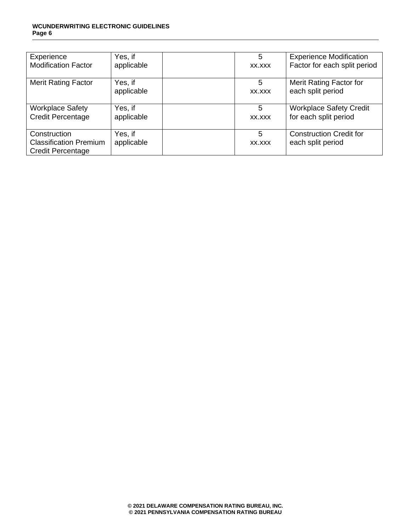#### **WCUNDERWRITING ELECTRONIC GUIDELINES Page 6**

| Experience                    | Yes, if    | 5      | <b>Experience Modification</b> |
|-------------------------------|------------|--------|--------------------------------|
| <b>Modification Factor</b>    | applicable | XX.XXX | Factor for each split period   |
| <b>Merit Rating Factor</b>    | Yes, if    | 5      | Merit Rating Factor for        |
|                               | applicable | XX.XXX | each split period              |
| <b>Workplace Safety</b>       | Yes, if    | 5      | <b>Workplace Safety Credit</b> |
| <b>Credit Percentage</b>      | applicable | XX.XXX | for each split period          |
| Construction                  | Yes, if    | 5      | <b>Construction Credit for</b> |
| <b>Classification Premium</b> | applicable | XX.XXX | each split period              |
| Credit Percentage             |            |        |                                |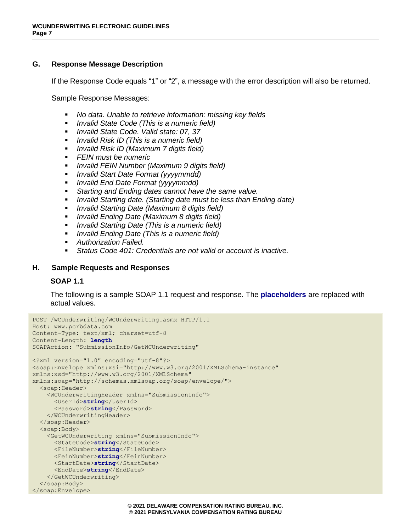## **G. Response Message Description**

If the Response Code equals "1" or "2", a message with the error description will also be returned.

Sample Response Messages:

- *No data. Unable to retrieve information: missing key fields*
- *Invalid State Code (This is a numeric field)*
- *Invalid State Code. Valid state: 07, 37*
- *Invalid Risk ID (This is a numeric field)*
- *Invalid Risk ID (Maximum 7 digits field)*
- *FEIN must be numeric*
- *Invalid FEIN Number (Maximum 9 digits field)*
- *Invalid Start Date Format (yyyymmdd)*
- *Invalid End Date Format (yyyymmdd)*
- Starting and Ending dates cannot have the same value.
- *Invalid Starting date. (Starting date must be less than Ending date)*
- *Invalid Starting Date (Maximum 8 digits field)*
- *Invalid Ending Date (Maximum 8 digits field)*
- *Invalid Starting Date (This is a numeric field)*
- *Invalid Ending Date (This is a numeric field)*
- *Authorization Failed.*
- *Status Code 401: Credentials are not valid or account is inactive.*

## **H. Sample Requests and Responses**

## **SOAP 1.1**

The following is a sample SOAP 1.1 request and response. The **placeholders** are replaced with actual values.

```
POST /WCUnderwriting/WCUnderwriting.asmx HTTP/1.1
Host: www.pcrbdata.com
Content-Type: text/xml; charset=utf-8
Content-Length: length
SOAPAction: "SubmissionInfo/GetWCUnderwriting"
<?xml version="1.0" encoding="utf-8"?>
<soap:Envelope xmlns:xsi="http://www.w3.org/2001/XMLSchema-instance" 
xmlns:xsd="http://www.w3.org/2001/XMLSchema" 
xmlns:soap="http://schemas.xmlsoap.org/soap/envelope/">
   <soap:Header>
     <WCUnderwritingHeader xmlns="SubmissionInfo">
      <UserId>string</UserId>
      <Password>string</Password>
     </WCUnderwritingHeader>
   </soap:Header>
   <soap:Body>
     <GetWCUnderwriting xmlns="SubmissionInfo">
       <StateCode>string</StateCode>
      <FileNumber>string</FileNumber>
      <FeinNumber>string</FeinNumber>
      <StartDate>string</StartDate>
      <EndDate>string</EndDate>
     </GetWCUnderwriting>
   </soap:Body>
</soap:Envelope>
```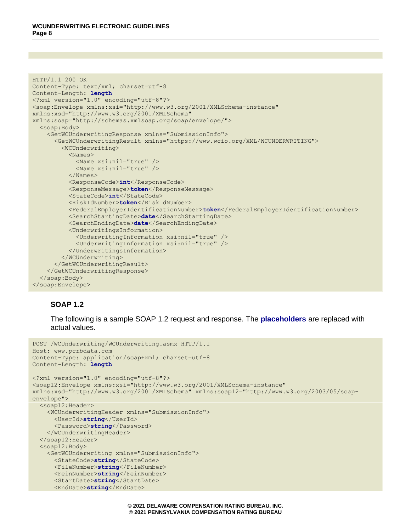```
HTTP/1.1 200 OK
Content-Type: text/xml; charset=utf-8
Content-Length: length
<?xml version="1.0" encoding="utf-8"?>
<soap:Envelope xmlns:xsi="http://www.w3.org/2001/XMLSchema-instance" 
xmlns:xsd="http://www.w3.org/2001/XMLSchema" 
xmlns:soap="http://schemas.xmlsoap.org/soap/envelope/">
   <soap:Body>
     <GetWCUnderwritingResponse xmlns="SubmissionInfo">
       <GetWCUnderwritingResult xmlns="https://www.wcio.org/XML/WCUNDERWRITING">
         <WCUnderwriting>
           <Names>
             <Name xsi:nil="true" />
             <Name xsi:nil="true" />
           </Names>
           <ResponseCode>int</ResponseCode>
           <ResponseMessage>token</ResponseMessage>
           <StateCode>int</StateCode>
           <RiskIdNumber>token</RiskIdNumber>
           <FederalEmployerIdentificationNumber>token</FederalEmployerIdentificationNumber>
           <SearchStartingDate>date</SearchStartingDate>
           <SearchEndingDate>date</SearchEndingDate>
           <UnderwritingsInformation>
             <UnderwritingInformation xsi:nil="true" />
             <UnderwritingInformation xsi:nil="true" />
           </UnderwritingsInformation>
         </WCUnderwriting>
       </GetWCUnderwritingResult>
     </GetWCUnderwritingResponse>
   </soap:Body>
</soap:Envelope>
```
## **SOAP 1.2**

The following is a sample SOAP 1.2 request and response. The **placeholders** are replaced with actual values.

```
POST /WCUnderwriting/WCUnderwriting.asmx HTTP/1.1
Host: www.pcrbdata.com
Content-Type: application/soap+xml; charset=utf-8
Content-Length: length
<?xml version="1.0" encoding="utf-8"?>
<soap12:Envelope xmlns:xsi="http://www.w3.org/2001/XMLSchema-instance" 
xmlns:xsd="http://www.w3.org/2001/XMLSchema" xmlns:soap12="http://www.w3.org/2003/05/soap-
envelope">
   <soap12:Header>
     <WCUnderwritingHeader xmlns="SubmissionInfo">
       <UserId>string</UserId>
       <Password>string</Password>
     </WCUnderwritingHeader>
   </soap12:Header>
   <soap12:Body>
     <GetWCUnderwriting xmlns="SubmissionInfo">
       <StateCode>string</StateCode>
       <FileNumber>string</FileNumber>
       <FeinNumber>string</FeinNumber>
       <StartDate>string</StartDate>
       <EndDate>string</EndDate>
```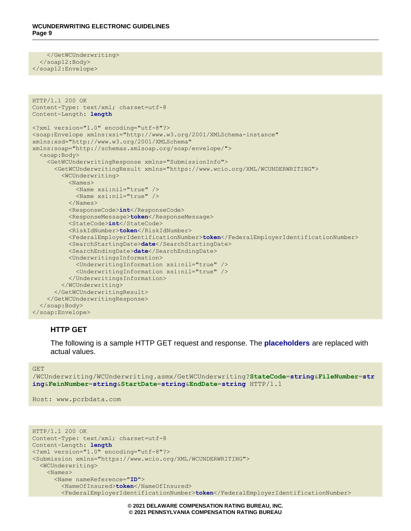</GetWCUnderwriting> </soap12:Body> </soap12:Envelope>

```
HTTP/1.1 200 OK
Content-Type: text/xml; charset=utf-8
Content-Length: length
<?xml version="1.0" encoding="utf-8"?>
<soap:Envelope xmlns:xsi="http://www.w3.org/2001/XMLSchema-instance" 
xmlns:xsd="http://www.w3.org/2001/XMLSchema" 
xmlns:soap="http://schemas.xmlsoap.org/soap/envelope/">
   <soap:Body>
     <GetWCUnderwritingResponse xmlns="SubmissionInfo">
       <GetWCUnderwritingResult xmlns="https://www.wcio.org/XML/WCUNDERWRITING">
         <WCUnderwriting>
           <Names>
             <Name xsi:nil="true" />
             <Name xsi:nil="true" />
           </Names>
           <ResponseCode>int</ResponseCode>
           <ResponseMessage>token</ResponseMessage>
           <StateCode>int</StateCode>
           <RiskIdNumber>token</RiskIdNumber>
           <FederalEmployerIdentificationNumber>token</FederalEmployerIdentificationNumber>
           <SearchStartingDate>date</SearchStartingDate>
           <SearchEndingDate>date</SearchEndingDate>
           <UnderwritingsInformation>
             <UnderwritingInformation xsi:nil="true" />
             <UnderwritingInformation xsi:nil="true" />
           </UnderwritingsInformation>
         </WCUnderwriting>
       </GetWCUnderwritingResult>
     </GetWCUnderwritingResponse>
   </soap:Body>
</soap:Envelope>
```
## **HTTP GET**

The following is a sample HTTP GET request and response. The **placeholders** are replaced with actual values.

GET

/WCUnderwriting/WCUnderwriting.asmx/GetWCUnderwriting?**StateCode**=**string**&**FileNumber**=**str ing**&**FeinNumber**=**string**&**StartDate**=**string**&**EndDate**=**string** HTTP/1.1

Host: www.pcrbdata.com

```
HTTP/1.1 200 OK
Content-Type: text/xml; charset=utf-8
Content-Length: length
<?xml version="1.0" encoding="utf-8"?>
<Submission xmlns="https://www.wcio.org/XML/WCUNDERWRITING">
   <WCUnderwriting>
     <Names>
       <Name nameReference="ID">
         <NameOfInsured>token</NameOfInsured>
         <FederalEmployerIdentificationNumber>token</FederalEmployerIdentificationNumber>
```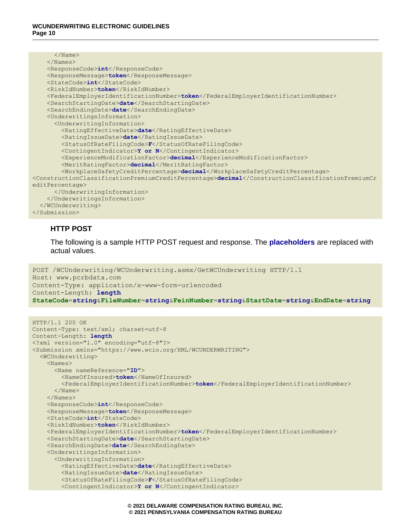| $\langle$ /Name $\rangle$                                                                                      |
|----------------------------------------------------------------------------------------------------------------|
| $\langle$ /Names>                                                                                              |
| <responsecode>int</responsecode>                                                                               |
| <responsemessage>token</responsemessage>                                                                       |
| <statecode>int</statecode>                                                                                     |
| <riskidnumber>token</riskidnumber>                                                                             |
| <federalemployeridentificationnumber>token</federalemployeridentificationnumber>                               |
| <searchstartingdate>date</searchstartingdate>                                                                  |
| <searchendingdate>date</searchendingdate>                                                                      |
| <underwritingsinformation></underwritingsinformation>                                                          |
| <underwritinginformation></underwritinginformation>                                                            |
| <ratingeffectivedate>date</ratingeffectivedate>                                                                |
| <ratingissuedate>date</ratingissuedate>                                                                        |
| <statusofratefilingcode>F</statusofratefilingcode>                                                             |
| <contingentindicator>Y or N</contingentindicator>                                                              |
| <experiencemodificationfactor>decimal</experiencemodificationfactor>                                           |
| <meritratingfactor>decimal</meritratingfactor>                                                                 |
| <workplacesafetycreditpercentage>decimal</workplacesafetycreditpercentage>                                     |
| <constructionclassificationpremiumcreditpercentage>decimal</constructionclassificationpremiumcreditpercentage> |
| editPercentage>                                                                                                |
|                                                                                                                |
|                                                                                                                |
|                                                                                                                |
|                                                                                                                |

## **HTTP POST**

The following is a sample HTTP POST request and response. The **placeholders** are replaced with actual values.

```
POST /WCUnderwriting/WCUnderwriting.asmx/GetWCUnderwriting HTTP/1.1
Host: www.pcrbdata.com
Content-Type: application/x-www-form-urlencoded
Content-Length: length
StateCode=string&FileNumber=string&FeinNumber=string&StartDate=string&EndDate=string
```

```
HTTP/1.1 200 OK
Content-Type: text/xml; charset=utf-8
Content-Length: length
<?xml version="1.0" encoding="utf-8"?>
<Submission xmlns="https://www.wcio.org/XML/WCUNDERWRITING">
   <WCUnderwriting>
     <Names>
       <Name nameReference="ID">
         <NameOfInsured>token</NameOfInsured>
         <FederalEmployerIdentificationNumber>token</FederalEmployerIdentificationNumber>
       </Name>
     </Names>
     <ResponseCode>int</ResponseCode>
     <ResponseMessage>token</ResponseMessage>
     <StateCode>int</StateCode>
     <RiskIdNumber>token</RiskIdNumber>
     <FederalEmployerIdentificationNumber>token</FederalEmployerIdentificationNumber>
     <SearchStartingDate>date</SearchStartingDate>
     <SearchEndingDate>date</SearchEndingDate>
     <UnderwritingsInformation>
       <UnderwritingInformation>
         <RatingEffectiveDate>date</RatingEffectiveDate>
         <RatingIssueDate>date</RatingIssueDate>
         <StatusOfRateFilingCode>F</StatusOfRateFilingCode>
         <ContingentIndicator>Y or N</ContingentIndicator>
```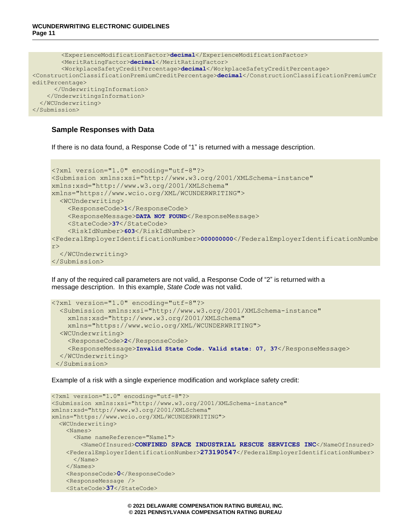```
 <ExperienceModificationFactor>decimal</ExperienceModificationFactor>
         <MeritRatingFactor>decimal</MeritRatingFactor>
         <WorkplaceSafetyCreditPercentage>decimal</WorkplaceSafetyCreditPercentage>
<ConstructionClassificationPremiumCreditPercentage>decimal</ConstructionClassificationPremiumCr
editPercentage>
       </UnderwritingInformation>
     </UnderwritingsInformation>
   </WCUnderwriting>
</Submission>
```
## **Sample Responses with Data**

If there is no data found, a Response Code of "1" is returned with a message description.

```
<?xml version="1.0" encoding="utf-8"?>
<Submission xmlns:xsi="http://www.w3.org/2001/XMLSchema-instance" 
xmlns:xsd="http://www.w3.org/2001/XMLSchema" 
xmlns="https://www.wcio.org/XML/WCUNDERWRITING">
   <WCUnderwriting>
     <ResponseCode>1</ResponseCode>
     <ResponseMessage>DATA NOT FOUND</ResponseMessage>
     <StateCode>37</StateCode>
     <RiskIdNumber>603</RiskIdNumber>
<FederalEmployerIdentificationNumber>000000000</FederalEmployerIdentificationNumbe
r>
   </WCUnderwriting>
</Submission>
```
If any of the required call parameters are not valid, a Response Code of "2" is returned with a message description. In this example, *State Code* was not valid.

```
<?xml version="1.0" encoding="utf-8"?>
   <Submission xmlns:xsi="http://www.w3.org/2001/XMLSchema-instance" 
     xmlns:xsd="http://www.w3.org/2001/XMLSchema" 
     xmlns="https://www.wcio.org/XML/WCUNDERWRITING">
   <WCUnderwriting>
     <ResponseCode>2</ResponseCode>
     <ResponseMessage>Invalid State Code. Valid state: 07, 37</ResponseMessage>
   </WCUnderwriting>
 </Submission>
```
Example of a risk with a single experience modification and workplace safety credit:

```
<?xml version="1.0" encoding="utf-8"?>
<Submission xmlns:xsi="http://www.w3.org/2001/XMLSchema-instance" 
xmlns:xsd="http://www.w3.org/2001/XMLSchema" 
xmlns="https://www.wcio.org/XML/WCUNDERWRITING">
  <WCUnderwriting>
     <Names>
       <Name nameReference="Name1">
         <NameOfInsured>CONFINED SPACE INDUSTRIAL RESCUE SERVICES INC</NameOfInsured>
     <FederalEmployerIdentificationNumber>273190547</FederalEmployerIdentificationNumber>
       </Name>
     </Names>
     <ResponseCode>0</ResponseCode>
     <ResponseMessage />
     <StateCode>37</StateCode>
```
**© 2021 DELAWARE COMPENSATION RATING BUREAU, INC. © 2021 PENNSYLVANIA COMPENSATION RATING BUREAU**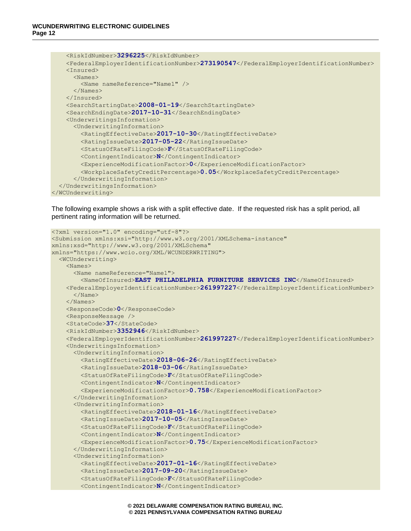```
 <RiskIdNumber>3296225</RiskIdNumber>
     <FederalEmployerIdentificationNumber>273190547</FederalEmployerIdentificationNumber>
     <Insured>
       <Names>
         <Name nameReference="Name1" />
       </Names>
     </Insured>
     <SearchStartingDate>2008-01-19</SearchStartingDate>
     <SearchEndingDate>2017-10-31</SearchEndingDate>
     <UnderwritingsInformation>
       <UnderwritingInformation>
         <RatingEffectiveDate>2017-10-30</RatingEffectiveDate>
         <RatingIssueDate>2017-05-22</RatingIssueDate>
         <StatusOfRateFilingCode>F</StatusOfRateFilingCode>
         <ContingentIndicator>N</ContingentIndicator>
         <ExperienceModificationFactor>0</ExperienceModificationFactor>
         <WorkplaceSafetyCreditPercentage>0.05</WorkplaceSafetyCreditPercentage>
       </UnderwritingInformation>
   </UnderwritingsInformation>
</WCUnderwriting>
```
The following example shows a risk with a split effective date. If the requested risk has a split period, all pertinent rating information will be returned.

```
<?xml version="1.0" encoding="utf-8"?>
<Submission xmlns:xsi="http://www.w3.org/2001/XMLSchema-instance" 
xmlns:xsd="http://www.w3.org/2001/XMLSchema" 
xmlns="https://www.wcio.org/XML/WCUNDERWRITING">
   <WCUnderwriting>
     <Names>
       <Name nameReference="Name1">
         <NameOfInsured>EAST PHILADELPHIA FURNITURE SERVICES INC</NameOfInsured>
     <FederalEmployerIdentificationNumber>261997227</FederalEmployerIdentificationNumber>
       </Name>
     </Names>
     <ResponseCode>0</ResponseCode>
     <ResponseMessage />
     <StateCode>37</StateCode>
     <RiskIdNumber>3352946</RiskIdNumber>
     <FederalEmployerIdentificationNumber>261997227</FederalEmployerIdentificationNumber>
     <UnderwritingsInformation>
       <UnderwritingInformation>
         <RatingEffectiveDate>2018-06-26</RatingEffectiveDate>
         <RatingIssueDate>2018-03-06</RatingIssueDate>
         <StatusOfRateFilingCode>F</StatusOfRateFilingCode>
         <ContingentIndicator>N</ContingentIndicator>
         <ExperienceModificationFactor>0.758</ExperienceModificationFactor>
       </UnderwritingInformation>
       <UnderwritingInformation>
         <RatingEffectiveDate>2018-01-16</RatingEffectiveDate>
         <RatingIssueDate>2017-10-05</RatingIssueDate>
         <StatusOfRateFilingCode>F</StatusOfRateFilingCode>
         <ContingentIndicator>N</ContingentIndicator>
         <ExperienceModificationFactor>0.75</ExperienceModificationFactor>
       </UnderwritingInformation>
       <UnderwritingInformation>
         <RatingEffectiveDate>2017-01-16</RatingEffectiveDate>
         <RatingIssueDate>2017-09-20</RatingIssueDate>
         <StatusOfRateFilingCode>F</StatusOfRateFilingCode>
         <ContingentIndicator>N</ContingentIndicator>
```